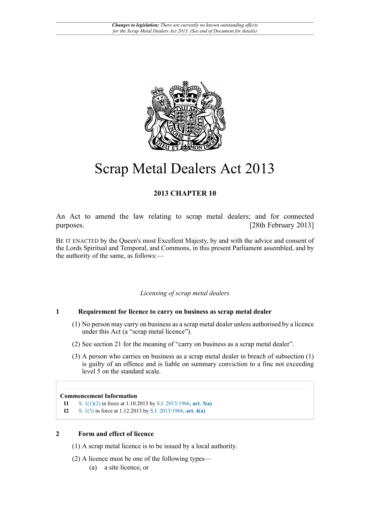

# Scrap Metal Dealers Act 2013

# **2013 CHAPTER 10**

An Act to amend the law relating to scrap metal dealers; and for connected purposes. [28th February 2013]

BE IT ENACTED by the Queen's most Excellent Majesty, by and with the advice and consent of the Lords Spiritual and Temporal, and Commons, in this present Parliament assembled, and by the authority of the same, as follows:—

*Licensing of scrap metal dealers*

# **1 Requirement for licence to carry on business as scrap metal dealer**

- (1) No person may carry on business as a scrap metal dealer unless authorised by a licence under this Act (a "scrap metal licence").
- (2) See section 21 for the meaning of "carry on business as a scrap metal dealer".
- (3) A person who carries on business as a scrap metal dealer in breach of subsection (1) is guilty of an offence and is liable on summary conviction to a fine not exceeding level 5 on the standard scale.

#### **Commencement Information**

- **I1** [S. 1\(1\)](http://www.legislation.gov.uk/id/ukpga/2013/10/section/1/1)[\(2\)](http://www.legislation.gov.uk/id/ukpga/2013/10/section/1/2) in force at 1.10.2013 by [S.I. 2013/1966](http://www.legislation.gov.uk/id/uksi/2013/1966), **[art. 3\(a\)](http://www.legislation.gov.uk/id/uksi/2013/1966/article/3/a)**
- **I2** [S. 1\(3\)](http://www.legislation.gov.uk/id/ukpga/2013/10/section/1/3) in force at 1.12.2013 by [S.I. 2013/1966,](http://www.legislation.gov.uk/id/uksi/2013/1966) **[art. 4\(a\)](http://www.legislation.gov.uk/id/uksi/2013/1966/article/4/a)**

# **2 Form and effect of licence**

- (1) A scrap metal licence is to be issued by a local authority.
- (2) A licence must be one of the following types—
	- (a) a site licence, or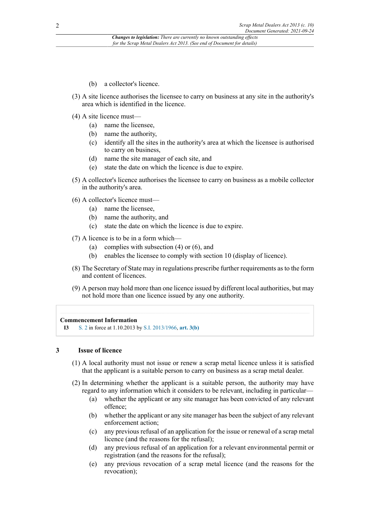- (b) a collector's licence.
- (3) A site licence authorises the licensee to carry on business at any site in the authority's area which is identified in the licence.
- (4) A site licence must—
	- (a) name the licensee,
	- (b) name the authority,
	- (c) identify all the sites in the authority's area at which the licensee is authorised to carry on business,
	- (d) name the site manager of each site, and
	- (e) state the date on which the licence is due to expire.
- (5) A collector's licence authorises the licensee to carry on business as a mobile collector in the authority's area.
- (6) A collector's licence must—
	- (a) name the licensee,
	- (b) name the authority, and
	- (c) state the date on which the licence is due to expire.
- (7) A licence is to be in a form which—
	- (a) complies with subsection (4) or (6), and
	- (b) enables the licensee to comply with section 10 (display of licence).
- (8) The Secretary of State may in regulations prescribe further requirements as to the form and content of licences.
- (9) A person may hold more than one licence issued by different local authorities, but may not hold more than one licence issued by any one authority.

#### **Commencement Information**

**I3** [S. 2](http://www.legislation.gov.uk/id/ukpga/2013/10/section/2) in force at 1.10.2013 by [S.I. 2013/1966](http://www.legislation.gov.uk/id/uksi/2013/1966), **[art. 3\(b\)](http://www.legislation.gov.uk/id/uksi/2013/1966/article/3/b)**

# **3 Issue of licence**

- (1) A local authority must not issue or renew a scrap metal licence unless it is satisfied that the applicant is a suitable person to carry on business as a scrap metal dealer.
- (2) In determining whether the applicant is a suitable person, the authority may have regard to any information which it considers to be relevant, including in particular—
	- (a) whether the applicant or any site manager has been convicted of any relevant offence;
	- (b) whether the applicant or any site manager has been the subject of any relevant enforcement action;
	- (c) any previous refusal of an application for the issue or renewal of a scrap metal licence (and the reasons for the refusal);
	- (d) any previous refusal of an application for a relevant environmental permit or registration (and the reasons for the refusal);
	- (e) any previous revocation of a scrap metal licence (and the reasons for the revocation);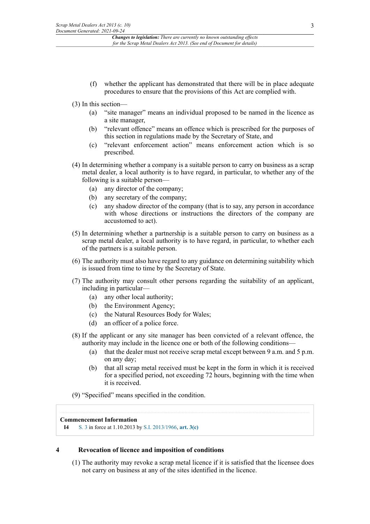(f) whether the applicant has demonstrated that there will be in place adequate procedures to ensure that the provisions of this Act are complied with.

(3) In this section—

- (a) "site manager" means an individual proposed to be named in the licence as a site manager,
- (b) "relevant offence" means an offence which is prescribed for the purposes of this section in regulations made by the Secretary of State, and
- (c) "relevant enforcement action" means enforcement action which is so prescribed.
- (4) In determining whether a company is a suitable person to carry on business as a scrap metal dealer, a local authority is to have regard, in particular, to whether any of the following is a suitable person—
	- (a) any director of the company;
	- (b) any secretary of the company;
	- (c) any shadow director of the company (that is to say, any person in accordance with whose directions or instructions the directors of the company are accustomed to act).
- (5) In determining whether a partnership is a suitable person to carry on business as a scrap metal dealer, a local authority is to have regard, in particular, to whether each of the partners is a suitable person.
- (6) The authority must also have regard to any guidance on determining suitability which is issued from time to time by the Secretary of State.
- (7) The authority may consult other persons regarding the suitability of an applicant, including in particular—
	- (a) any other local authority;
	- (b) the Environment Agency;
	- (c) the Natural Resources Body for Wales;
	- (d) an officer of a police force.
- (8) If the applicant or any site manager has been convicted of a relevant offence, the authority may include in the licence one or both of the following conditions—
	- (a) that the dealer must not receive scrap metal except between 9 a.m. and 5 p.m. on any day;
	- (b) that all scrap metal received must be kept in the form in which it is received for a specified period, not exceeding 72 hours, beginning with the time when it is received.
- (9) "Specified" means specified in the condition.

# **Commencement Information**

**I4** [S. 3](http://www.legislation.gov.uk/id/ukpga/2013/10/section/3) in force at 1.10.2013 by [S.I. 2013/1966](http://www.legislation.gov.uk/id/uksi/2013/1966), **[art. 3\(c\)](http://www.legislation.gov.uk/id/uksi/2013/1966/article/3/c)**

# **4 Revocation of licence and imposition of conditions**

(1) The authority may revoke a scrap metal licence if it is satisfied that the licensee does not carry on business at any of the sites identified in the licence.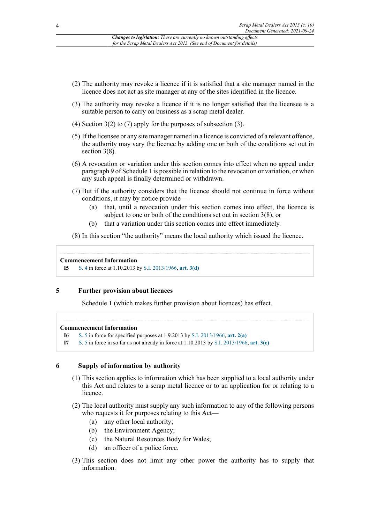- (2) The authority may revoke a licence if it is satisfied that a site manager named in the licence does not act as site manager at any of the sites identified in the licence.
- (3) The authority may revoke a licence if it is no longer satisfied that the licensee is a suitable person to carry on business as a scrap metal dealer.
- (4) Section 3(2) to (7) apply for the purposes of subsection (3).
- (5) If the licensee or any site manager named in a licence is convicted of a relevant offence, the authority may vary the licence by adding one or both of the conditions set out in section 3(8).
- (6) A revocation or variation under this section comes into effect when no appeal under paragraph 9 of Schedule 1 is possible in relation to the revocation or variation, or when any such appeal is finally determined or withdrawn.
- (7) But if the authority considers that the licence should not continue in force without conditions, it may by notice provide—
	- (a) that, until a revocation under this section comes into effect, the licence is subject to one or both of the conditions set out in section 3(8), or
	- (b) that a variation under this section comes into effect immediately.
- (8) In this section "the authority" means the local authority which issued the licence.

#### **Commencement Information**

**I5** [S. 4](http://www.legislation.gov.uk/id/ukpga/2013/10/section/4) in force at 1.10.2013 by [S.I. 2013/1966](http://www.legislation.gov.uk/id/uksi/2013/1966), **[art. 3\(d\)](http://www.legislation.gov.uk/id/uksi/2013/1966/article/3/d)**

# **5 Further provision about licences**

Schedule 1 (which makes further provision about licences) has effect.

## **Commencement Information**

- **I6** [S. 5](http://www.legislation.gov.uk/id/ukpga/2013/10/section/5) in force for specified purposes at 1.9.2013 by [S.I. 2013/1966,](http://www.legislation.gov.uk/id/uksi/2013/1966) **[art. 2\(a\)](http://www.legislation.gov.uk/id/uksi/2013/1966/article/2/a)**
- **I7** [S. 5](http://www.legislation.gov.uk/id/ukpga/2013/10/section/5) in force in so far as not already in force at 1.10.2013 by [S.I. 2013/1966](http://www.legislation.gov.uk/id/uksi/2013/1966), **[art. 3\(e\)](http://www.legislation.gov.uk/id/uksi/2013/1966/article/3/e)**

# **6 Supply of information by authority**

- (1) This section applies to information which has been supplied to a local authority under this Act and relates to a scrap metal licence or to an application for or relating to a licence.
- (2) The local authority must supply any such information to any of the following persons who requests it for purposes relating to this Act—
	- (a) any other local authority;
	- (b) the Environment Agency;
	- (c) the Natural Resources Body for Wales;
	- (d) an officer of a police force.
- (3) This section does not limit any other power the authority has to supply that information.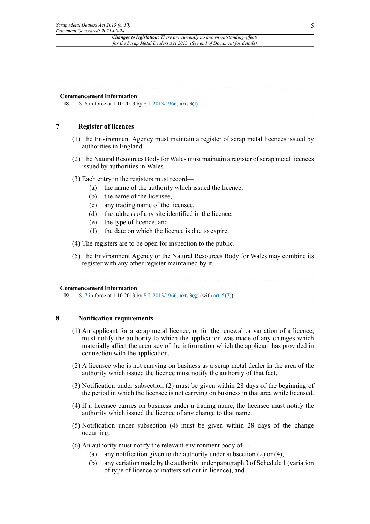#### **Commencement Information**

**I8** [S. 6](http://www.legislation.gov.uk/id/ukpga/2013/10/section/6) in force at 1.10.2013 by [S.I. 2013/1966](http://www.legislation.gov.uk/id/uksi/2013/1966), **[art. 3\(f\)](http://www.legislation.gov.uk/id/uksi/2013/1966/article/3/f)**

# **7 Register of licences**

- (1) The Environment Agency must maintain a register of scrap metal licences issued by authorities in England.
- (2) The Natural Resources Body for Wales must maintain a register ofscrap metal licences issued by authorities in Wales.
- (3) Each entry in the registers must record—
	- (a) the name of the authority which issued the licence,
	- (b) the name of the licensee,
	- (c) any trading name of the licensee,
	- (d) the address of any site identified in the licence,
	- (e) the type of licence, and
	- (f) the date on which the licence is due to expire.
- (4) The registers are to be open for inspection to the public.
- (5) The Environment Agency or the Natural Resources Body for Wales may combine its register with any other register maintained by it.

#### **Commencement Information**

**I9** [S. 7](http://www.legislation.gov.uk/id/ukpga/2013/10/section/7) in force at 1.10.2013 by [S.I. 2013/1966](http://www.legislation.gov.uk/id/uksi/2013/1966), **[art. 3\(g\)](http://www.legislation.gov.uk/id/uksi/2013/1966/article/3/g)** (with [art. 5\(7\)](http://www.legislation.gov.uk/id/uksi/2013/1966/article/5/7))

# **8 Notification requirements**

- (1) An applicant for a scrap metal licence, or for the renewal or variation of a licence, must notify the authority to which the application was made of any changes which materially affect the accuracy of the information which the applicant has provided in connection with the application.
- (2) A licensee who is not carrying on business as a scrap metal dealer in the area of the authority which issued the licence must notify the authority of that fact.
- (3) Notification under subsection (2) must be given within 28 days of the beginning of the period in which the licensee is not carrying on business in that area while licensed.
- (4) If a licensee carries on business under a trading name, the licensee must notify the authority which issued the licence of any change to that name.
- (5) Notification under subsection (4) must be given within 28 days of the change occurring.
- (6) An authority must notify the relevant environment body of—
	- (a) any notification given to the authority under subsection (2) or (4),
	- (b) any variation made by the authority under paragraph 3 of Schedule 1 (variation of type of licence or matters set out in licence), and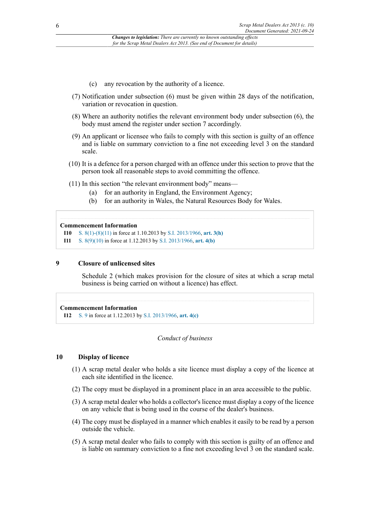- (c) any revocation by the authority of a licence.
- (7) Notification under subsection (6) must be given within 28 days of the notification, variation or revocation in question.
- (8) Where an authority notifies the relevant environment body under subsection (6), the body must amend the register under section 7 accordingly.
- (9) An applicant or licensee who fails to comply with this section is guilty of an offence and is liable on summary conviction to a fine not exceeding level 3 on the standard scale.
- (10) It is a defence for a person charged with an offence under this section to prove that the person took all reasonable steps to avoid committing the offence.
- (11) In this section "the relevant environment body" means—
	- (a) for an authority in England, the Environment Agency;
	- (b) for an authority in Wales, the Natural Resources Body for Wales.

#### **Commencement Information**

**I10** [S. 8\(1\)-\(8\)](http://www.legislation.gov.uk/id/ukpga/2013/10/section/8/1)[\(11\)](http://www.legislation.gov.uk/id/ukpga/2013/10/section/8/11) in force at 1.10.2013 by [S.I. 2013/1966](http://www.legislation.gov.uk/id/uksi/2013/1966), **[art. 3\(h\)](http://www.legislation.gov.uk/id/uksi/2013/1966/article/3/h)**

**I11** [S. 8\(9\)](http://www.legislation.gov.uk/id/ukpga/2013/10/section/8/9)[\(10\)](http://www.legislation.gov.uk/id/ukpga/2013/10/section/8/10) in force at 1.12.2013 by [S.I. 2013/1966,](http://www.legislation.gov.uk/id/uksi/2013/1966) **[art. 4\(b\)](http://www.legislation.gov.uk/id/uksi/2013/1966/article/4/b)**

# **9 Closure of unlicensed sites**

Schedule 2 (which makes provision for the closure of sites at which a scrap metal business is being carried on without a licence) has effect.

#### **Commencement Information**

**I12** [S. 9](http://www.legislation.gov.uk/id/ukpga/2013/10/section/9) in force at 1.12.2013 by [S.I. 2013/1966](http://www.legislation.gov.uk/id/uksi/2013/1966), **[art. 4\(c\)](http://www.legislation.gov.uk/id/uksi/2013/1966/article/4/c)**

## *Conduct of business*

## **10 Display of licence**

- (1) A scrap metal dealer who holds a site licence must display a copy of the licence at each site identified in the licence.
- (2) The copy must be displayed in a prominent place in an area accessible to the public.
- (3) A scrap metal dealer who holds a collector's licence must display a copy of the licence on any vehicle that is being used in the course of the dealer's business.
- (4) The copy must be displayed in a manner which enables it easily to be read by a person outside the vehicle.
- (5) A scrap metal dealer who fails to comply with this section is guilty of an offence and is liable on summary conviction to a fine not exceeding level 3 on the standard scale.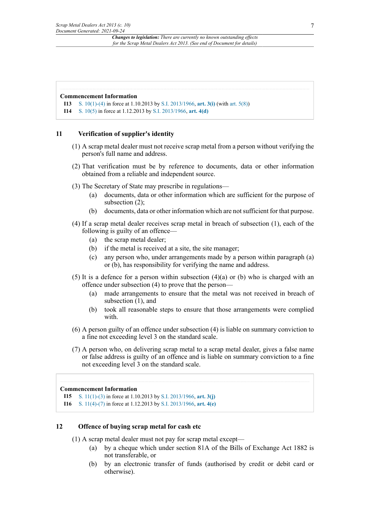## **Commencement Information**

```
I13 S. 10(1)-(4) in force at 1.10.2013 by S.I. 2013/1966, art. 3(i) (with art. 5(8))
```
**I14** [S. 10\(5\)](http://www.legislation.gov.uk/id/ukpga/2013/10/section/10/5) in force at 1.12.2013 by [S.I. 2013/1966](http://www.legislation.gov.uk/id/uksi/2013/1966), **[art. 4\(d\)](http://www.legislation.gov.uk/id/uksi/2013/1966/article/4/d)**

# **11 Verification of supplier's identity**

- (1) A scrap metal dealer must not receive scrap metal from a person without verifying the person's full name and address.
- (2) That verification must be by reference to documents, data or other information obtained from a reliable and independent source.
- (3) The Secretary of State may prescribe in regulations—
	- (a) documents, data or other information which are sufficient for the purpose of subsection (2);
	- (b) documents, data or other information which are notsufficient for that purpose.
- (4) If a scrap metal dealer receives scrap metal in breach of subsection (1), each of the following is guilty of an offence—
	- (a) the scrap metal dealer;
	- (b) if the metal is received at a site, the site manager;
	- (c) any person who, under arrangements made by a person within paragraph (a) or (b), has responsibility for verifying the name and address.
- (5) It is a defence for a person within subsection  $(4)(a)$  or (b) who is charged with an offence under subsection (4) to prove that the person—
	- (a) made arrangements to ensure that the metal was not received in breach of subsection  $(1)$ , and
	- (b) took all reasonable steps to ensure that those arrangements were complied with.
- (6) A person guilty of an offence under subsection (4) is liable on summary conviction to a fine not exceeding level 3 on the standard scale.
- (7) A person who, on delivering scrap metal to a scrap metal dealer, gives a false name or false address is guilty of an offence and is liable on summary conviction to a fine not exceeding level 3 on the standard scale.

# **Commencement Information**

**I15** S. [11\(1\)-\(3\)](http://www.legislation.gov.uk/id/ukpga/2013/10/section/11/1) in force at 1.10.2013 by [S.I. 2013/1966,](http://www.legislation.gov.uk/id/uksi/2013/1966) **[art. 3\(j\)](http://www.legislation.gov.uk/id/uksi/2013/1966/article/3/j)**

**I16** S. [11\(4\)-\(7\)](http://www.legislation.gov.uk/id/ukpga/2013/10/section/11/4) in force at 1.12.2013 by [S.I. 2013/1966,](http://www.legislation.gov.uk/id/uksi/2013/1966) **[art. 4\(e\)](http://www.legislation.gov.uk/id/uksi/2013/1966/article/4/e)**

# **12 Offence of buying scrap metal for cash etc**

(1) A scrap metal dealer must not pay for scrap metal except—

- (a) by a cheque which under section 81A of the Bills of Exchange Act 1882 is not transferable, or
- (b) by an electronic transfer of funds (authorised by credit or debit card or otherwise).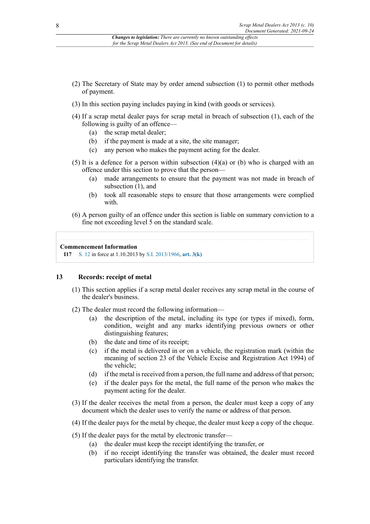- (2) The Secretary of State may by order amend subsection (1) to permit other methods of payment.
- (3) In this section paying includes paying in kind (with goods or services).
- (4) If a scrap metal dealer pays for scrap metal in breach of subsection (1), each of the following is guilty of an offence—
	- (a) the scrap metal dealer;
	- (b) if the payment is made at a site, the site manager;
	- (c) any person who makes the payment acting for the dealer.
- (5) It is a defence for a person within subsection  $(4)(a)$  or (b) who is charged with an offence under this section to prove that the person—
	- (a) made arrangements to ensure that the payment was not made in breach of subsection (1), and
	- (b) took all reasonable steps to ensure that those arrangements were complied with.
- (6) A person guilty of an offence under this section is liable on summary conviction to a fine not exceeding level 5 on the standard scale.

#### **Commencement Information**

**I17** [S. 12](http://www.legislation.gov.uk/id/ukpga/2013/10/section/12) in force at 1.10.2013 by [S.I. 2013/1966,](http://www.legislation.gov.uk/id/uksi/2013/1966) **[art. 3\(k\)](http://www.legislation.gov.uk/id/uksi/2013/1966/article/3/k)**

## **13 Records: receipt of metal**

- (1) This section applies if a scrap metal dealer receives any scrap metal in the course of the dealer's business.
- (2) The dealer must record the following information—
	- (a) the description of the metal, including its type (or types if mixed), form, condition, weight and any marks identifying previous owners or other distinguishing features;
	- (b) the date and time of its receipt;
	- (c) if the metal is delivered in or on a vehicle, the registration mark (within the meaning of section 23 of the Vehicle Excise and Registration Act 1994) of the vehicle;
	- (d) if the metal is received from a person, the full name and address of that person;
	- (e) if the dealer pays for the metal, the full name of the person who makes the payment acting for the dealer.
- (3) If the dealer receives the metal from a person, the dealer must keep a copy of any document which the dealer uses to verify the name or address of that person.
- (4) If the dealer pays for the metal by cheque, the dealer must keep a copy of the cheque.
- (5) If the dealer pays for the metal by electronic transfer—
	- (a) the dealer must keep the receipt identifying the transfer, or
	- (b) if no receipt identifying the transfer was obtained, the dealer must record particulars identifying the transfer.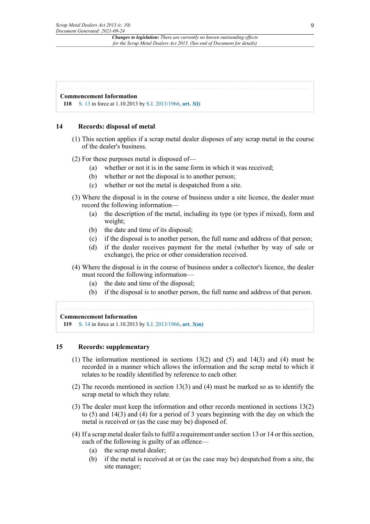# **Commencement Information**

**I18** [S. 13](http://www.legislation.gov.uk/id/ukpga/2013/10/section/13) in force at 1.10.2013 by [S.I. 2013/1966,](http://www.legislation.gov.uk/id/uksi/2013/1966) **[art. 3\(l\)](http://www.legislation.gov.uk/id/uksi/2013/1966/article/3/l)**

# **14 Records: disposal of metal**

- (1) This section applies if a scrap metal dealer disposes of any scrap metal in the course of the dealer's business.
- (2) For these purposes metal is disposed of—
	- (a) whether or not it is in the same form in which it was received;
	- (b) whether or not the disposal is to another person;
	- (c) whether or not the metal is despatched from a site.
- (3) Where the disposal is in the course of business under a site licence, the dealer must record the following information—
	- (a) the description of the metal, including its type (or types if mixed), form and weight;
	- (b) the date and time of its disposal;
	- (c) if the disposal is to another person, the full name and address of that person;
	- (d) if the dealer receives payment for the metal (whether by way of sale or exchange), the price or other consideration received.
- (4) Where the disposal is in the course of business under a collector's licence, the dealer must record the following information—
	- (a) the date and time of the disposal;
	- (b) if the disposal is to another person, the full name and address of that person.

# **Commencement Information**

**I19** [S. 14](http://www.legislation.gov.uk/id/ukpga/2013/10/section/14) in force at 1.10.2013 by [S.I. 2013/1966,](http://www.legislation.gov.uk/id/uksi/2013/1966) **[art. 3\(m\)](http://www.legislation.gov.uk/id/uksi/2013/1966/article/3/m)**

# **15 Records: supplementary**

- (1) The information mentioned in sections  $13(2)$  and  $(5)$  and  $14(3)$  and  $(4)$  must be recorded in a manner which allows the information and the scrap metal to which it relates to be readily identified by reference to each other.
- (2) The records mentioned in section 13(3) and (4) must be marked so as to identify the scrap metal to which they relate.
- (3) The dealer must keep the information and other records mentioned in sections 13(2) to (5) and 14(3) and (4) for a period of 3 years beginning with the day on which the metal is received or (as the case may be) disposed of.
- (4) If a scrap metal dealer fails to fulfil a requirement under section 13 or 14 or this section, each of the following is guilty of an offence—
	- (a) the scrap metal dealer;
	- (b) if the metal is received at or (as the case may be) despatched from a site, the site manager;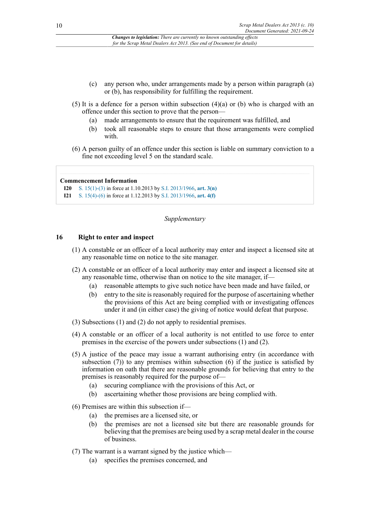- (c) any person who, under arrangements made by a person within paragraph (a) or (b), has responsibility for fulfilling the requirement.
- (5) It is a defence for a person within subsection  $(4)(a)$  or (b) who is charged with an offence under this section to prove that the person—
	- (a) made arrangements to ensure that the requirement was fulfilled, and
	- (b) took all reasonable steps to ensure that those arrangements were complied with.
- (6) A person guilty of an offence under this section is liable on summary conviction to a fine not exceeding level 5 on the standard scale.

#### **Commencement Information**

```
I20 S. 15(1)-(3) in force at 1.10.2013 by S.I. 2013/1966, art. 3(n)
```
**I21** [S. 15\(4\)-\(6\)](http://www.legislation.gov.uk/id/ukpga/2013/10/section/15/4) in force at 1.12.2013 by [S.I. 2013/1966,](http://www.legislation.gov.uk/id/uksi/2013/1966) **[art. 4\(f\)](http://www.legislation.gov.uk/id/uksi/2013/1966/article/4/f)**

## *Supplementary*

## **16 Right to enter and inspect**

- (1) A constable or an officer of a local authority may enter and inspect a licensed site at any reasonable time on notice to the site manager.
- (2) A constable or an officer of a local authority may enter and inspect a licensed site at any reasonable time, otherwise than on notice to the site manager, if—
	- (a) reasonable attempts to give such notice have been made and have failed, or
	- (b) entry to the site is reasonably required for the purpose of ascertaining whether the provisions of this Act are being complied with or investigating offences under it and (in either case) the giving of notice would defeat that purpose.
- (3) Subsections (1) and (2) do not apply to residential premises.
- (4) A constable or an officer of a local authority is not entitled to use force to enter premises in the exercise of the powers under subsections (1) and (2).
- (5) A justice of the peace may issue a warrant authorising entry (in accordance with subsection (7)) to any premises within subsection (6) if the justice is satisfied by information on oath that there are reasonable grounds for believing that entry to the premises is reasonably required for the purpose of—
	- (a) securing compliance with the provisions of this Act, or
	- (b) ascertaining whether those provisions are being complied with.
- (6) Premises are within this subsection if—
	- (a) the premises are a licensed site, or
	- (b) the premises are not a licensed site but there are reasonable grounds for believing that the premises are being used by a scrap metal dealer in the course of business.
- (7) The warrant is a warrant signed by the justice which—
	- (a) specifies the premises concerned, and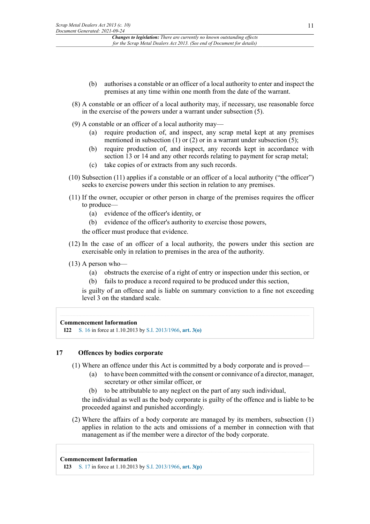- (b) authorises a constable or an officer of a local authority to enter and inspect the premises at any time within one month from the date of the warrant.
- (8) A constable or an officer of a local authority may, if necessary, use reasonable force in the exercise of the powers under a warrant under subsection (5).
- (9) A constable or an officer of a local authority may—
	- (a) require production of, and inspect, any scrap metal kept at any premises mentioned in subsection (1) or (2) or in a warrant under subsection (5);
	- (b) require production of, and inspect, any records kept in accordance with section 13 or 14 and any other records relating to payment for scrap metal;
	- (c) take copies of or extracts from any such records.
- (10) Subsection (11) applies if a constable or an officer of a local authority ("the officer") seeks to exercise powers under this section in relation to any premises.
- (11) If the owner, occupier or other person in charge of the premises requires the officer to produce—
	- (a) evidence of the officer's identity, or
	- (b) evidence of the officer's authority to exercise those powers,

the officer must produce that evidence.

- (12) In the case of an officer of a local authority, the powers under this section are exercisable only in relation to premises in the area of the authority.
- (13) A person who—
	- (a) obstructs the exercise of a right of entry or inspection under this section, or
	- (b) fails to produce a record required to be produced under this section,

is guilty of an offence and is liable on summary conviction to a fine not exceeding level 3 on the standard scale.

# **Commencement Information**

**I22** [S. 16](http://www.legislation.gov.uk/id/ukpga/2013/10/section/16) in force at 1.10.2013 by [S.I. 2013/1966,](http://www.legislation.gov.uk/id/uksi/2013/1966) **[art. 3\(o\)](http://www.legislation.gov.uk/id/uksi/2013/1966/article/3/o)**

# **17 Offences by bodies corporate**

(1) Where an offence under this Act is committed by a body corporate and is proved—

- (a) to have been committed with the consent or connivance of a director, manager, secretary or other similar officer, or
- (b) to be attributable to any neglect on the part of any such individual,

the individual as well as the body corporate is guilty of the offence and is liable to be proceeded against and punished accordingly.

(2) Where the affairs of a body corporate are managed by its members, subsection (1) applies in relation to the acts and omissions of a member in connection with that management as if the member were a director of the body corporate.

**I23** [S. 17](http://www.legislation.gov.uk/id/ukpga/2013/10/section/17) in force at 1.10.2013 by [S.I. 2013/1966,](http://www.legislation.gov.uk/id/uksi/2013/1966) **[art. 3\(p\)](http://www.legislation.gov.uk/id/uksi/2013/1966/article/3/p)**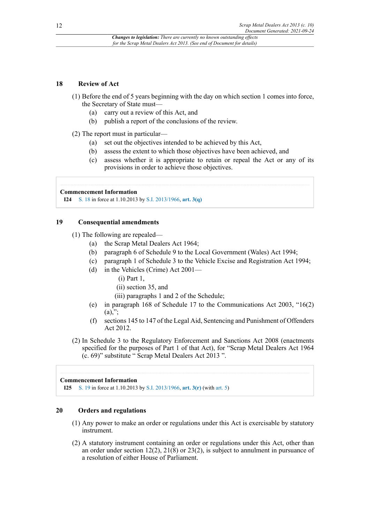# **18 Review of Act**

- (1) Before the end of 5 years beginning with the day on which section 1 comes into force, the Secretary of State must—
	- (a) carry out a review of this Act, and
	- (b) publish a report of the conclusions of the review.
- (2) The report must in particular—
	- (a) set out the objectives intended to be achieved by this Act,
	- (b) assess the extent to which those objectives have been achieved, and
	- (c) assess whether it is appropriate to retain or repeal the Act or any of its provisions in order to achieve those objectives.

## **Commencement Information**

**I24** [S. 18](http://www.legislation.gov.uk/id/ukpga/2013/10/section/18) in force at 1.10.2013 by [S.I. 2013/1966,](http://www.legislation.gov.uk/id/uksi/2013/1966) **[art. 3\(q\)](http://www.legislation.gov.uk/id/uksi/2013/1966/article/3/q)**

# **19 Consequential amendments**

(1) The following are repealed—

- (a) the Scrap Metal Dealers Act 1964;
- (b) paragraph 6 of Schedule 9 to the Local Government (Wales) Act 1994;
- (c) paragraph 1 of Schedule 3 to the Vehicle Excise and Registration Act 1994;
- (d) in the Vehicles (Crime) Act 2001—
	- (i) Part 1,
	- (ii) section 35, and

(iii) paragraphs 1 and 2 of the Schedule;

- (e) in paragraph 168 of Schedule 17 to the Communications Act 2003, "16(2)  $(a)$ ,";
- (f) sections 145 to 147 of the Legal Aid, Sentencing and Punishment of Offenders Act 2012.
- (2) In Schedule 3 to the Regulatory Enforcement and Sanctions Act 2008 (enactments specified for the purposes of Part 1 of that Act), for "Scrap Metal Dealers Act 1964 (c. 69)" substitute " Scrap Metal Dealers Act 2013 ".

#### **Commencement Information**

**I25** [S. 19](http://www.legislation.gov.uk/id/ukpga/2013/10/section/19) in force at 1.10.2013 by [S.I. 2013/1966,](http://www.legislation.gov.uk/id/uksi/2013/1966) **[art. 3\(r\)](http://www.legislation.gov.uk/id/uksi/2013/1966/article/3/r)** (with [art. 5\)](http://www.legislation.gov.uk/id/uksi/2013/1966/article/5)

# **20 Orders and regulations**

- (1) Any power to make an order or regulations under this Act is exercisable by statutory instrument.
- (2) A statutory instrument containing an order or regulations under this Act, other than an order under section  $12(2)$ ,  $21(8)$  or  $23(2)$ , is subject to annulment in pursuance of a resolution of either House of Parliament.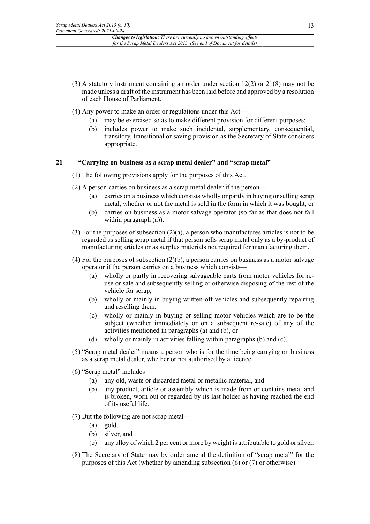- (3) A statutory instrument containing an order under section 12(2) or 21(8) may not be made unless a draft of the instrument has been laid before and approved by a resolution of each House of Parliament.
- (4) Any power to make an order or regulations under this Act—
	- (a) may be exercised so as to make different provision for different purposes;
	- (b) includes power to make such incidental, supplementary, consequential, transitory, transitional or saving provision as the Secretary of State considers appropriate.

# **21 "Carrying on business as a scrap metal dealer" and "scrap metal"**

- (1) The following provisions apply for the purposes of this Act.
- (2) A person carries on business as a scrap metal dealer if the person—
	- (a) carries on a business which consists wholly or partly in buying or selling scrap metal, whether or not the metal is sold in the form in which it was bought, or
	- (b) carries on business as a motor salvage operator (so far as that does not fall within paragraph (a)).
- (3) For the purposes of subsection (2)(a), a person who manufactures articles is not to be regarded as selling scrap metal if that person sells scrap metal only as a by-product of manufacturing articles or as surplus materials not required for manufacturing them.
- $(4)$  For the purposes of subsection  $(2)(b)$ , a person carries on business as a motor salvage operator if the person carries on a business which consists—
	- (a) wholly or partly in recovering salvageable parts from motor vehicles for reuse or sale and subsequently selling or otherwise disposing of the rest of the vehicle for scrap,
	- (b) wholly or mainly in buying written-off vehicles and subsequently repairing and reselling them,
	- (c) wholly or mainly in buying or selling motor vehicles which are to be the subject (whether immediately or on a subsequent re-sale) of any of the activities mentioned in paragraphs (a) and (b), or
	- (d) wholly or mainly in activities falling within paragraphs (b) and (c).
- (5) "Scrap metal dealer" means a person who is for the time being carrying on business as a scrap metal dealer, whether or not authorised by a licence.
- (6) "Scrap metal" includes—
	- (a) any old, waste or discarded metal or metallic material, and
	- (b) any product, article or assembly which is made from or contains metal and is broken, worn out or regarded by its last holder as having reached the end of its useful life.
- (7) But the following are not scrap metal—
	- (a) gold,
	- (b) silver, and
	- (c) any alloy of which 2 per cent or more by weight is attributable to gold orsilver.
- (8) The Secretary of State may by order amend the definition of "scrap metal" for the purposes of this Act (whether by amending subsection (6) or (7) or otherwise).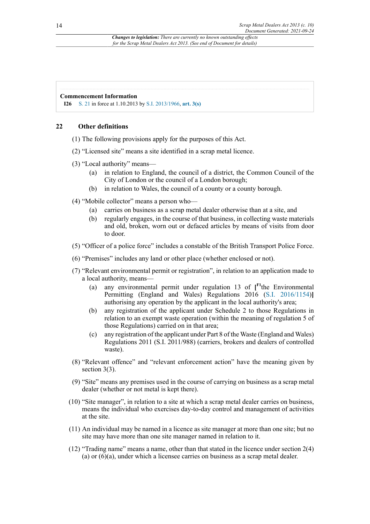# **Commencement Information**

**I26** [S. 21](http://www.legislation.gov.uk/id/ukpga/2013/10/section/21) in force at 1.10.2013 by [S.I. 2013/1966,](http://www.legislation.gov.uk/id/uksi/2013/1966) **[art. 3\(s\)](http://www.legislation.gov.uk/id/uksi/2013/1966/article/3/s)**

# **22 Other definitions**

- (1) The following provisions apply for the purposes of this Act.
- (2) "Licensed site" means a site identified in a scrap metal licence.
- (3) "Local authority" means—
	- (a) in relation to England, the council of a district, the Common Council of the City of London or the council of a London borough;
	- (b) in relation to Wales, the council of a county or a county borough.

(4) "Mobile collector" means a person who—

- (a) carries on business as a scrap metal dealer otherwise than at a site, and
- <span id="page-13-0"></span>(b) regularly engages, in the course of that business, in collecting waste materials and old, broken, worn out or defaced articles by means of visits from door to door.
- (5) "Officer of a police force" includes a constable of the British Transport Police Force.
- (6) "Premises" includes any land or other place (whether enclosed or not).
- (7) "Relevant environmental permit or registration", in relation to an application made to a local authority, means-
	- (a) any environmental permit under regulation 13 of **[ [F1](#page-14-0)**the Environmental Permitting (England and Wales) Regulations 2016 (S.I. [2016/1154\)](http://www.legislation.gov.uk/id/uksi/2016/1154)**]** authorising any operation by the applicant in the local authority's area;
	- (b) any registration of the applicant under Schedule 2 to those Regulations in relation to an exempt waste operation (within the meaning of regulation 5 of those Regulations) carried on in that area;
	- (c) any registration of the applicant under Part 8 of the Waste (England and Wales) Regulations 2011 (S.I. 2011/988) (carriers, brokers and dealers of controlled waste).
- (8) "Relevant offence" and "relevant enforcement action" have the meaning given by section 3(3).
- (9) "Site" means any premises used in the course of carrying on business as a scrap metal dealer (whether or not metal is kept there).
- (10) "Site manager", in relation to a site at which a scrap metal dealer carries on business, means the individual who exercises day-to-day control and management of activities at the site.
- (11) An individual may be named in a licence as site manager at more than one site; but no site may have more than one site manager named in relation to it.
- (12) "Trading name" means a name, other than that stated in the licence under section 2(4) (a) or (6)(a), under which a licensee carries on business as a scrap metal dealer.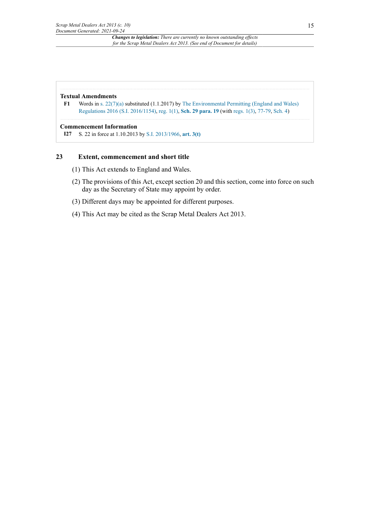# **Textual Amendments**

<span id="page-14-0"></span>**[F1](#page-13-0)** Words in [s. 22\(7\)\(a\)](http://www.legislation.gov.uk/id/ukpga/2013/10/section/22/7/a) substituted (1.1.2017) by The [Environmental](http://www.legislation.gov.uk/id/uksi/2016/1154) Permitting (England and Wales) [Regulations](http://www.legislation.gov.uk/id/uksi/2016/1154) 2016 (S.I. 2016/1154), [reg. 1\(1\),](http://www.legislation.gov.uk/id/uksi/2016/1154/regulation/1/1) **[Sch. 29 para. 19](http://www.legislation.gov.uk/id/uksi/2016/1154/schedule/29/paragraph/19)** (with [regs. 1\(3\)](http://www.legislation.gov.uk/id/uksi/2016/1154/regulation/1/3), [77-79,](http://www.legislation.gov.uk/id/uksi/2016/1154/regulation/77) [Sch. 4\)](http://www.legislation.gov.uk/id/uksi/2016/1154/schedule/4)

## **Commencement Information**

**I27** S. 22 in force at 1.10.2013 by [S.I. 2013/1966,](http://www.legislation.gov.uk/id/uksi/2013/1966) **[art. 3\(t\)](http://www.legislation.gov.uk/id/uksi/2013/1966/article/3/t)**

# **23 Extent, commencement and short title**

- (1) This Act extends to England and Wales.
- (2) The provisions of this Act, except section 20 and this section, come into force on such day as the Secretary of State may appoint by order.
- (3) Different days may be appointed for different purposes.
- (4) This Act may be cited as the Scrap Metal Dealers Act 2013.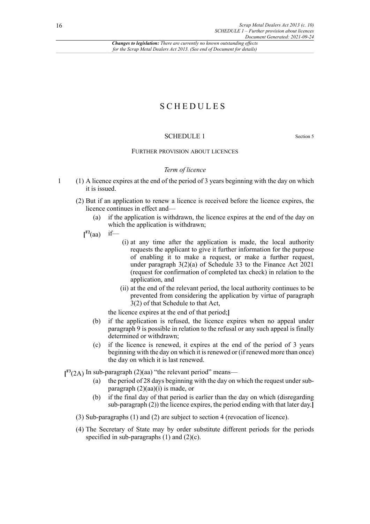# SCHEDULES

# SCHEDULE 1 Section 5

#### FURTHER PROVISION ABOUT LICENCES

#### *Term of licence*

- 1 (1) A licence expires at the end of the period of 3 years beginning with the day on which it is issued.
	- (2) But if an application to renew a licence is received before the licence expires, the licence continues in effect and—
		- (a) if the application is withdrawn, the licence expires at the end of the day on which the application is withdrawn;

<span id="page-15-0"></span> $[$ <sup>[F2](#page-16-0)</sup>(aa) if—

- (i) at any time after the application is made, the local authority requests the applicant to give it further information for the purpose of enabling it to make a request, or make a further request, under paragraph 3(2)(a) of Schedule 33 to the Finance Act 2021 (request for confirmation of completed tax check) in relation to the application, and
- (ii) at the end of the relevant period, the local authority continues to be prevented from considering the application by virtue of paragraph 3(2) of that Schedule to that Act,

the licence expires at the end of that period;**]**

- (b) if the application is refused, the licence expires when no appeal under paragraph 9 is possible in relation to the refusal or any such appeal is finally determined or withdrawn;
- (c) if the licence is renewed, it expires at the end of the period of 3 years beginning with the day on which it is renewed or (if renewed more than once) the day on which it is last renewed.

<span id="page-15-1"></span>**[ [F3](#page-16-1)**(2A) In sub-paragraph (2)(aa) "the relevant period" means—

- (a) the period of 28 days beginning with the day on which the request under subparagraph  $(2)(aa)(i)$  is made, or
- (b) if the final day of that period is earlier than the day on which (disregarding sub-paragraph (2)) the licence expires, the period ending with that later day.**]**
- (3) Sub-paragraphs (1) and (2) are subject to section 4 (revocation of licence).
- (4) The Secretary of State may by order substitute different periods for the periods specified in sub-paragraphs  $(1)$  and  $(2)(c)$ .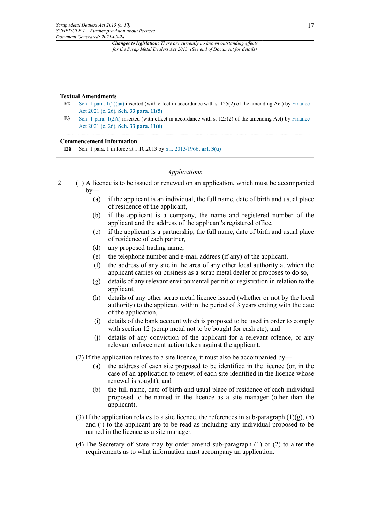#### **Textual Amendments**

- <span id="page-16-0"></span>**[F2](#page-15-0)** [Sch. 1 para. 1\(2\)\(aa\)](http://www.legislation.gov.uk/id/ukpga/2013/10/schedule/1/paragraph/1/2/aa) inserted (with effect in accordance with s. 125(2) of the amending Act) by [Finance](http://www.legislation.gov.uk/id/ukpga/2021/26) [Act 2021 \(c. 26\),](http://www.legislation.gov.uk/id/ukpga/2021/26) **Sch. 33 [para.](http://www.legislation.gov.uk/id/ukpga/2021/26/schedule/33/paragraph/11/5) 11(5)**
- <span id="page-16-1"></span>**[F3](#page-15-1)** [Sch. 1 para. 1\(2A\)](http://www.legislation.gov.uk/id/ukpga/2013/10/schedule/1/paragraph/1/2A) inserted (with effect in accordance with s. 125(2) of the amending Act) by [Finance](http://www.legislation.gov.uk/id/ukpga/2021/26) [Act 2021 \(c. 26\),](http://www.legislation.gov.uk/id/ukpga/2021/26) **Sch. 33 [para.](http://www.legislation.gov.uk/id/ukpga/2021/26/schedule/33/paragraph/11/6) 11(6)**

#### **Commencement Information**

**I28** Sch. 1 para. 1 in force at 1.10.2013 by [S.I. 2013/1966,](http://www.legislation.gov.uk/id/uksi/2013/1966) **[art. 3\(u\)](http://www.legislation.gov.uk/id/uksi/2013/1966/article/3/u)**

#### *Applications*

- 2 (1) A licence is to be issued or renewed on an application, which must be accompanied  $b$ v—
	- (a) if the applicant is an individual, the full name, date of birth and usual place of residence of the applicant,
	- (b) if the applicant is a company, the name and registered number of the applicant and the address of the applicant's registered office,
	- (c) if the applicant is a partnership, the full name, date of birth and usual place of residence of each partner,
	- (d) any proposed trading name,
	- (e) the telephone number and e-mail address (if any) of the applicant,
	- (f) the address of any site in the area of any other local authority at which the applicant carries on business as a scrap metal dealer or proposes to do so,
	- (g) details of any relevant environmental permit or registration in relation to the applicant,
	- (h) details of any other scrap metal licence issued (whether or not by the local authority) to the applicant within the period of 3 years ending with the date of the application,
	- (i) details of the bank account which is proposed to be used in order to comply with section 12 (scrap metal not to be bought for cash etc), and
	- (j) details of any conviction of the applicant for a relevant offence, or any relevant enforcement action taken against the applicant.

(2) If the application relates to a site licence, it must also be accompanied by—

- (a) the address of each site proposed to be identified in the licence (or, in the case of an application to renew, of each site identified in the licence whose renewal is sought), and
- (b) the full name, date of birth and usual place of residence of each individual proposed to be named in the licence as a site manager (other than the applicant).
- (3) If the application relates to a site licence, the references in sub-paragraph  $(1)(g)$ , (h) and (j) to the applicant are to be read as including any individual proposed to be named in the licence as a site manager.
- (4) The Secretary of State may by order amend sub-paragraph (1) or (2) to alter the requirements as to what information must accompany an application.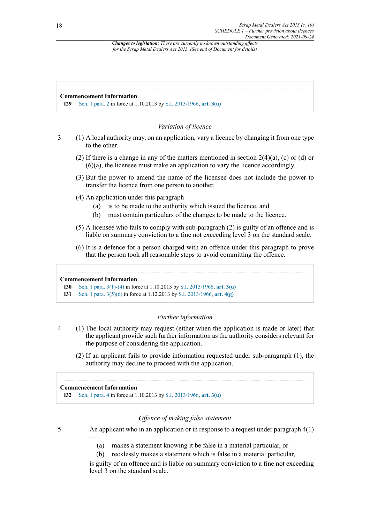## **Commencement Information**

**I29** [Sch. 1 para. 2](http://www.legislation.gov.uk/id/ukpga/2013/10/schedule/1/paragraph/2) in force at 1.10.2013 by [S.I. 2013/1966,](http://www.legislation.gov.uk/id/uksi/2013/1966) **[art. 3\(u\)](http://www.legislation.gov.uk/id/uksi/2013/1966/article/3/u)**

## *Variation of licence*

- 3 (1) A local authority may, on an application, vary a licence by changing it from one type to the other.
	- (2) If there is a change in any of the matters mentioned in section  $2(4)(a)$ , (c) or (d) or (6)(a), the licensee must make an application to vary the licence accordingly.
	- (3) But the power to amend the name of the licensee does not include the power to transfer the licence from one person to another.
	- (4) An application under this paragraph—
		- (a) is to be made to the authority which issued the licence, and
		- (b) must contain particulars of the changes to be made to the licence.
	- (5) A licensee who fails to comply with sub-paragraph (2) is guilty of an offence and is liable on summary conviction to a fine not exceeding level 3 on the standard scale.
	- (6) It is a defence for a person charged with an offence under this paragraph to prove that the person took all reasonable steps to avoid committing the offence.

#### **Commencement Information**

**I30** [Sch. 1 para. 3\(1\)-\(4\)](http://www.legislation.gov.uk/id/ukpga/2013/10/schedule/1/paragraph/3/1) in force at 1.10.2013 by [S.I. 2013/1966,](http://www.legislation.gov.uk/id/uksi/2013/1966) **[art. 3\(u\)](http://www.legislation.gov.uk/id/uksi/2013/1966/article/3/u)**

**I31** [Sch. 1 para. 3\(5\)](http://www.legislation.gov.uk/id/ukpga/2013/10/schedule/1/paragraph/3/5)[\(6\)](http://www.legislation.gov.uk/id/ukpga/2013/10/schedule/1/paragraph/3/6) in force at 1.12.2013 by [S.I. 2013/1966,](http://www.legislation.gov.uk/id/uksi/2013/1966) **[art. 4\(g\)](http://www.legislation.gov.uk/id/uksi/2013/1966/article/4/g)**

# *Further information*

- 4 (1) The local authority may request (either when the application is made or later) that the applicant provide such further information as the authority considers relevant for the purpose of considering the application.
	- (2) If an applicant fails to provide information requested under sub-paragraph (1), the authority may decline to proceed with the application.

#### **Commencement Information**

**I32** [Sch. 1 para. 4](http://www.legislation.gov.uk/id/ukpga/2013/10/schedule/1/paragraph/4) in force at 1.10.2013 by [S.I. 2013/1966,](http://www.legislation.gov.uk/id/uksi/2013/1966) **[art. 3\(u\)](http://www.legislation.gov.uk/id/uksi/2013/1966/article/3/u)**

#### *Offence of making false statement*

- 5 An applicant who in an application or in response to a request under paragraph 4(1) —
	- (a) makes a statement knowing it be false in a material particular, or
	- (b) recklessly makes a statement which is false in a material particular,

is guilty of an offence and is liable on summary conviction to a fine not exceeding level 3 on the standard scale.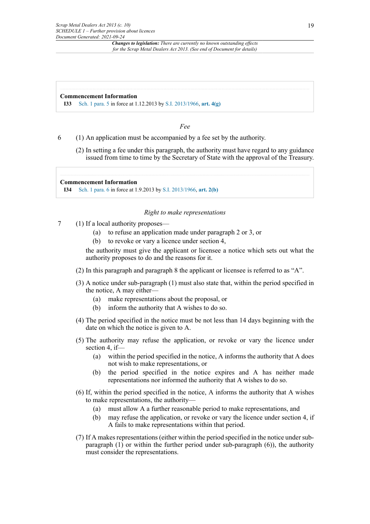**Commencement Information I33** [Sch. 1 para. 5](http://www.legislation.gov.uk/id/ukpga/2013/10/schedule/1/paragraph/5) in force at 1.12.2013 by [S.I. 2013/1966,](http://www.legislation.gov.uk/id/uksi/2013/1966) **[art. 4\(g\)](http://www.legislation.gov.uk/id/uksi/2013/1966/article/4/g)**

#### *Fee*

- 6 (1) An application must be accompanied by a fee set by the authority.
	- (2) In setting a fee under this paragraph, the authority must have regard to any guidance issued from time to time by the Secretary of State with the approval of the Treasury.

**Commencement Information I34** [Sch. 1 para. 6](http://www.legislation.gov.uk/id/ukpga/2013/10/schedule/1/paragraph/6) in force at 1.9.2013 by [S.I. 2013/1966](http://www.legislation.gov.uk/id/uksi/2013/1966), **[art. 2\(b\)](http://www.legislation.gov.uk/id/uksi/2013/1966/article/2/b)**

#### *Right to make representations*

- 7 (1) If a local authority proposes—
	- (a) to refuse an application made under paragraph 2 or 3, or
	- (b) to revoke or vary a licence under section 4,

the authority must give the applicant or licensee a notice which sets out what the authority proposes to do and the reasons for it.

- (2) In this paragraph and paragraph 8 the applicant or licensee is referred to as "A".
- (3) A notice under sub-paragraph (1) must also state that, within the period specified in the notice, A may either—
	- (a) make representations about the proposal, or
	- (b) inform the authority that A wishes to do so.
- (4) The period specified in the notice must be not less than 14 days beginning with the date on which the notice is given to A.
- (5) The authority may refuse the application, or revoke or vary the licence under section 4, if—
	- (a) within the period specified in the notice, A informs the authority that A does not wish to make representations, or
	- (b) the period specified in the notice expires and A has neither made representations nor informed the authority that A wishes to do so.
- (6) If, within the period specified in the notice, A informs the authority that A wishes to make representations, the authority—
	- (a) must allow A a further reasonable period to make representations, and
	- (b) may refuse the application, or revoke or vary the licence under section 4, if A fails to make representations within that period.
- (7) If A makes representations (either within the period specified in the notice under subparagraph (1) or within the further period under sub-paragraph (6)), the authority must consider the representations.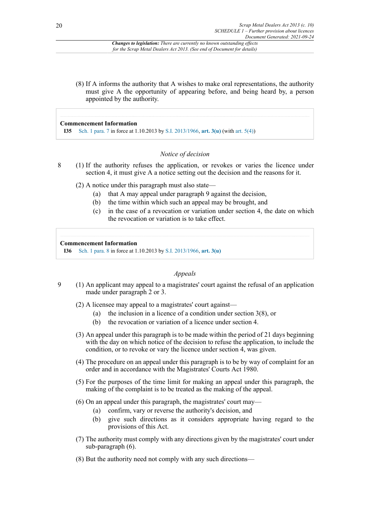(8) If A informs the authority that A wishes to make oral representations, the authority must give A the opportunity of appearing before, and being heard by, a person appointed by the authority.

#### **Commencement Information**

**I35** [Sch. 1 para. 7](http://www.legislation.gov.uk/id/ukpga/2013/10/schedule/1/paragraph/7) in force at 1.10.2013 by [S.I. 2013/1966,](http://www.legislation.gov.uk/id/uksi/2013/1966) **[art. 3\(u\)](http://www.legislation.gov.uk/id/uksi/2013/1966/article/3/u)** (with [art. 5\(4\)](http://www.legislation.gov.uk/id/uksi/2013/1966/article/5/4))

#### *Notice of decision*

- 8 (1) If the authority refuses the application, or revokes or varies the licence under section 4, it must give A a notice setting out the decision and the reasons for it.
	- (2) A notice under this paragraph must also state—
		- (a) that A may appeal under paragraph 9 against the decision,
		- (b) the time within which such an appeal may be brought, and
		- (c) in the case of a revocation or variation under section 4, the date on which the revocation or variation is to take effect.

## **Commencement Information**

**I36** [Sch. 1 para. 8](http://www.legislation.gov.uk/id/ukpga/2013/10/schedule/1/paragraph/8) in force at 1.10.2013 by [S.I. 2013/1966,](http://www.legislation.gov.uk/id/uksi/2013/1966) **[art. 3\(u\)](http://www.legislation.gov.uk/id/uksi/2013/1966/article/3/u)**

#### *Appeals*

- 9 (1) An applicant may appeal to a magistrates' court against the refusal of an application made under paragraph 2 or 3.
	- (2) A licensee may appeal to a magistrates' court against—
		- (a) the inclusion in a licence of a condition under section 3(8), or
		- (b) the revocation or variation of a licence under section 4.
	- (3) An appeal under this paragraph is to be made within the period of 21 days beginning with the day on which notice of the decision to refuse the application, to include the condition, or to revoke or vary the licence under section 4, was given.
	- (4) The procedure on an appeal under this paragraph is to be by way of complaint for an order and in accordance with the Magistrates' Courts Act 1980.
	- (5) For the purposes of the time limit for making an appeal under this paragraph, the making of the complaint is to be treated as the making of the appeal.
	- (6) On an appeal under this paragraph, the magistrates' court may—
		- (a) confirm, vary or reverse the authority's decision, and
		- (b) give such directions as it considers appropriate having regard to the provisions of this Act.
	- (7) The authority must comply with any directions given by the magistrates' court under sub-paragraph (6).
	- (8) But the authority need not comply with any such directions—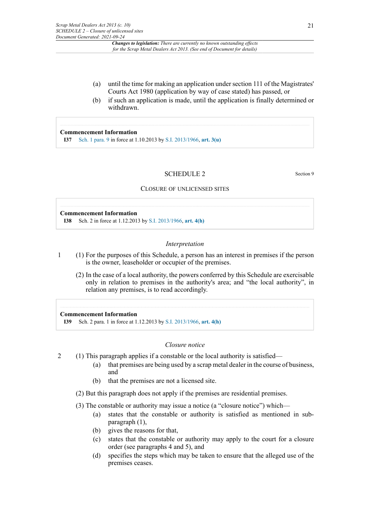- (a) until the time for making an application undersection 111 of the Magistrates' Courts Act 1980 (application by way of case stated) has passed, or
- (b) if such an application is made, until the application is finally determined or withdrawn.

**Commencement Information I37** [Sch. 1 para. 9](http://www.legislation.gov.uk/id/ukpga/2013/10/schedule/1/paragraph/9) in force at 1.10.2013 by [S.I. 2013/1966,](http://www.legislation.gov.uk/id/uksi/2013/1966) **[art. 3\(u\)](http://www.legislation.gov.uk/id/uksi/2013/1966/article/3/u)**

## SCHEDULE 2 Section 9

#### CLOSURE OF UNLICENSED SITES

**Commencement Information I38** Sch. 2 in force at 1.12.2013 by [S.I. 2013/1966,](http://www.legislation.gov.uk/id/uksi/2013/1966) **[art. 4\(h\)](http://www.legislation.gov.uk/id/uksi/2013/1966/article/4/h)**

#### *Interpretation*

- 1 (1) For the purposes of this Schedule, a person has an interest in premises if the person is the owner, leaseholder or occupier of the premises.
	- (2) In the case of a local authority, the powers conferred by this Schedule are exercisable only in relation to premises in the authority's area; and "the local authority", in relation any premises, is to read accordingly.

#### **Commencement Information**

**I39** Sch. 2 para. 1 in force at 1.12.2013 by [S.I. 2013/1966,](http://www.legislation.gov.uk/id/uksi/2013/1966) **[art. 4\(h\)](http://www.legislation.gov.uk/id/uksi/2013/1966/article/4/h)**

## *Closure notice*

- 2 (1) This paragraph applies if a constable or the local authority is satisfied—
	- (a) that premises are being used by a scrap metal dealer in the course of business, and
	- (b) that the premises are not a licensed site.

(2) But this paragraph does not apply if the premises are residential premises.

(3) The constable or authority may issue a notice (a "closure notice") which—

- (a) states that the constable or authority is satisfied as mentioned in subparagraph (1),
- (b) gives the reasons for that,
- (c) states that the constable or authority may apply to the court for a closure order (see paragraphs 4 and 5), and
- (d) specifies the steps which may be taken to ensure that the alleged use of the premises ceases.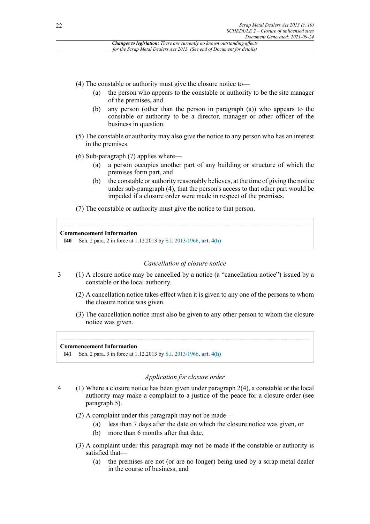(4) The constable or authority must give the closure notice to—

- (a) the person who appears to the constable or authority to be the site manager of the premises, and
- (b) any person (other than the person in paragraph (a)) who appears to the constable or authority to be a director, manager or other officer of the business in question.
- (5) The constable or authority may also give the notice to any person who has an interest in the premises.
- (6) Sub-paragraph (7) applies where—
	- (a) a person occupies another part of any building or structure of which the premises form part, and
	- (b) the constable or authority reasonably believes, at the time of giving the notice under sub-paragraph (4), that the person's access to that other part would be impeded if a closure order were made in respect of the premises.
- (7) The constable or authority must give the notice to that person.

## **Commencement Information**

**I40** Sch. 2 para. 2 in force at 1.12.2013 by [S.I. 2013/1966,](http://www.legislation.gov.uk/id/uksi/2013/1966) **[art. 4\(h\)](http://www.legislation.gov.uk/id/uksi/2013/1966/article/4/h)**

#### *Cancellation of closure notice*

- 3 (1) A closure notice may be cancelled by a notice (a "cancellation notice") issued by a constable or the local authority.
	- (2) A cancellation notice takes effect when it is given to any one of the persons to whom the closure notice was given.
	- (3) The cancellation notice must also be given to any other person to whom the closure notice was given.

#### **Commencement Information**

**I41** Sch. 2 para. 3 in force at 1.12.2013 by [S.I. 2013/1966,](http://www.legislation.gov.uk/id/uksi/2013/1966) **[art. 4\(h\)](http://www.legislation.gov.uk/id/uksi/2013/1966/article/4/h)**

#### *Application for closure order*

- 4 (1) Where a closure notice has been given under paragraph 2(4), a constable or the local authority may make a complaint to a justice of the peace for a closure order (see paragraph 5).
	- (2) A complaint under this paragraph may not be made—
		- (a) less than 7 days after the date on which the closure notice was given, or
		- (b) more than 6 months after that date.
	- (3) A complaint under this paragraph may not be made if the constable or authority is satisfied that—
		- (a) the premises are not (or are no longer) being used by a scrap metal dealer in the course of business, and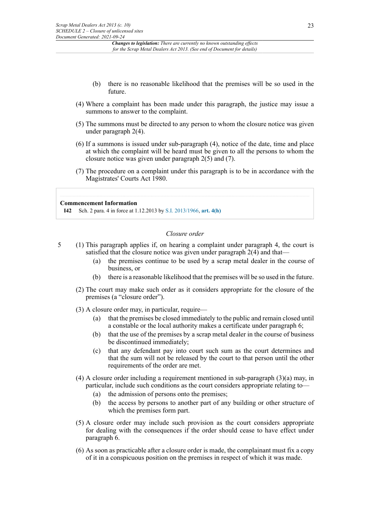- (b) there is no reasonable likelihood that the premises will be so used in the future.
- (4) Where a complaint has been made under this paragraph, the justice may issue a summons to answer to the complaint.
- (5) The summons must be directed to any person to whom the closure notice was given under paragraph 2(4).
- (6) If a summons is issued under sub-paragraph (4), notice of the date, time and place at which the complaint will be heard must be given to all the persons to whom the closure notice was given under paragraph 2(5) and (7).
- (7) The procedure on a complaint under this paragraph is to be in accordance with the Magistrates' Courts Act 1980.

#### **Commencement Information**

**I42** Sch. 2 para. 4 in force at 1.12.2013 by [S.I. 2013/1966,](http://www.legislation.gov.uk/id/uksi/2013/1966) **[art. 4\(h\)](http://www.legislation.gov.uk/id/uksi/2013/1966/article/4/h)**

#### *Closure order*

- 5 (1) This paragraph applies if, on hearing a complaint under paragraph 4, the court is satisfied that the closure notice was given under paragraph 2(4) and that—
	- (a) the premises continue to be used by a scrap metal dealer in the course of business, or
	- (b) there is a reasonable likelihood that the premises will be so used in the future.
	- (2) The court may make such order as it considers appropriate for the closure of the premises (a "closure order").
	- (3) A closure order may, in particular, require—
		- (a) that the premises be closed immediately to the public and remain closed until a constable or the local authority makes a certificate under paragraph 6;
		- (b) that the use of the premises by a scrap metal dealer in the course of business be discontinued immediately;
		- (c) that any defendant pay into court such sum as the court determines and that the sum will not be released by the court to that person until the other requirements of the order are met.
	- (4) A closure order including a requirement mentioned in sub-paragraph (3)(a) may, in particular, include such conditions as the court considers appropriate relating to—
		- (a) the admission of persons onto the premises;
		- (b) the access by persons to another part of any building or other structure of which the premises form part.
	- (5) A closure order may include such provision as the court considers appropriate for dealing with the consequences if the order should cease to have effect under paragraph 6.
	- (6) As soon as practicable after a closure order is made, the complainant must fix a copy of it in a conspicuous position on the premises in respect of which it was made.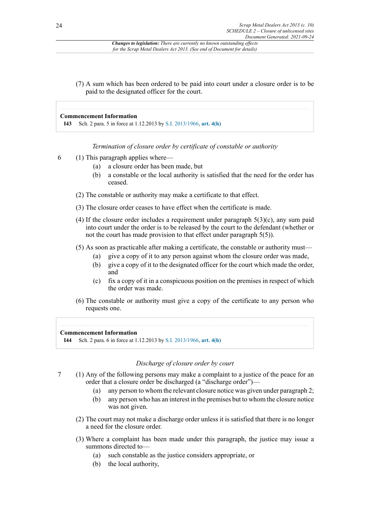(7) A sum which has been ordered to be paid into court under a closure order is to be paid to the designated officer for the court.

#### **Commencement Information**

**I43** Sch. 2 para. 5 in force at 1.12.2013 by [S.I. 2013/1966,](http://www.legislation.gov.uk/id/uksi/2013/1966) **[art. 4\(h\)](http://www.legislation.gov.uk/id/uksi/2013/1966/article/4/h)**

*Termination of closure order by certificate of constable or authority*

- 6 (1) This paragraph applies where—
	- (a) a closure order has been made, but
	- (b) a constable or the local authority is satisfied that the need for the order has ceased.
	- (2) The constable or authority may make a certificate to that effect.
	- (3) The closure order ceases to have effect when the certificate is made.
	- (4) If the closure order includes a requirement under paragraph  $5(3)(c)$ , any sum paid into court under the order is to be released by the court to the defendant (whether or not the court has made provision to that effect under paragraph 5(5)).
	- (5) As soon as practicable after making a certificate, the constable or authority must—
		- (a) give a copy of it to any person against whom the closure order was made,
		- (b) give a copy of it to the designated officer for the court which made the order, and
		- (c) fix a copy of it in a conspicuous position on the premises in respect of which the order was made.
	- (6) The constable or authority must give a copy of the certificate to any person who requests one.

#### **Commencement Information**

**I44** Sch. 2 para. 6 in force at 1.12.2013 by [S.I. 2013/1966,](http://www.legislation.gov.uk/id/uksi/2013/1966) **[art. 4\(h\)](http://www.legislation.gov.uk/id/uksi/2013/1966/article/4/h)**

#### *Discharge of closure order by court*

- 7 (1) Any of the following persons may make a complaint to a justice of the peace for an order that a closure order be discharged (a "discharge order")—
	- (a) any person to whom the relevant closure notice was given under paragraph 2;
	- (b) any person who has an interest in the premises but to whom the closure notice was not given.
	- (2) The court may not make a discharge order unless it is satisfied that there is no longer a need for the closure order.
	- (3) Where a complaint has been made under this paragraph, the justice may issue a summons directed to—
		- (a) such constable as the justice considers appropriate, or
		- (b) the local authority,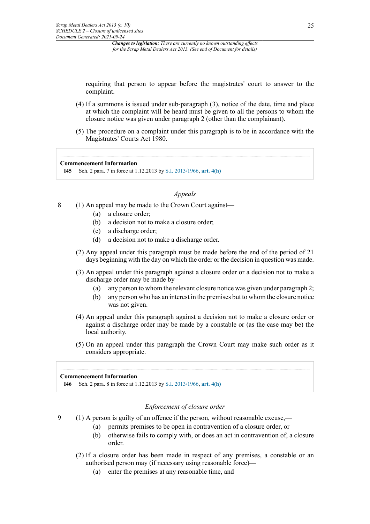requiring that person to appear before the magistrates' court to answer to the complaint.

- (4) If a summons is issued under sub-paragraph (3), notice of the date, time and place at which the complaint will be heard must be given to all the persons to whom the closure notice was given under paragraph 2 (other than the complainant).
- (5) The procedure on a complaint under this paragraph is to be in accordance with the Magistrates' Courts Act 1980.

#### **Commencement Information**

**I45** Sch. 2 para. 7 in force at 1.12.2013 by [S.I. 2013/1966,](http://www.legislation.gov.uk/id/uksi/2013/1966) **[art. 4\(h\)](http://www.legislation.gov.uk/id/uksi/2013/1966/article/4/h)**

#### *Appeals*

- 8 (1) An appeal may be made to the Crown Court against—
	- (a) a closure order;
	- (b) a decision not to make a closure order;
	- (c) a discharge order;
	- (d) a decision not to make a discharge order.
	- (2) Any appeal under this paragraph must be made before the end of the period of 21 days beginning with the day on which the order or the decision in question was made.
	- (3) An appeal under this paragraph against a closure order or a decision not to make a discharge order may be made by—
		- (a) any person to whom the relevant closure notice was given under paragraph 2;
		- (b) any person who has an interest in the premises but to whom the closure notice was not given.
	- (4) An appeal under this paragraph against a decision not to make a closure order or against a discharge order may be made by a constable or (as the case may be) the local authority.
	- (5) On an appeal under this paragraph the Crown Court may make such order as it considers appropriate.

#### **Commencement Information**

**I46** Sch. 2 para. 8 in force at 1.12.2013 by [S.I. 2013/1966,](http://www.legislation.gov.uk/id/uksi/2013/1966) **[art. 4\(h\)](http://www.legislation.gov.uk/id/uksi/2013/1966/article/4/h)**

## *Enforcement of closure order*

- 9 (1) A person is guilty of an offence if the person, without reasonable excuse,—
	- (a) permits premises to be open in contravention of a closure order, or
	- (b) otherwise fails to comply with, or does an act in contravention of, a closure order.
	- (2) If a closure order has been made in respect of any premises, a constable or an authorised person may (if necessary using reasonable force)—
		- (a) enter the premises at any reasonable time, and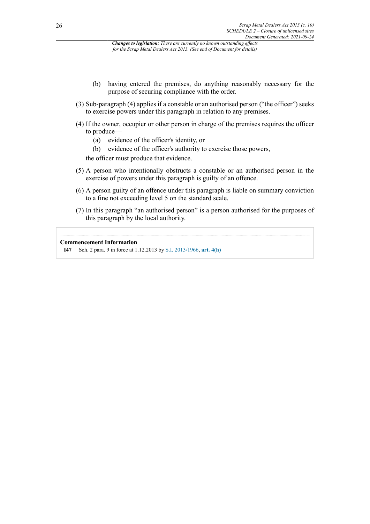- (b) having entered the premises, do anything reasonably necessary for the purpose of securing compliance with the order.
- (3) Sub-paragraph (4) applies if a constable or an authorised person ("the officer") seeks to exercise powers under this paragraph in relation to any premises.
- (4) If the owner, occupier or other person in charge of the premises requires the officer to produce—
	- (a) evidence of the officer's identity, or
	- (b) evidence of the officer's authority to exercise those powers,

the officer must produce that evidence.

- (5) A person who intentionally obstructs a constable or an authorised person in the exercise of powers under this paragraph is guilty of an offence.
- (6) A person guilty of an offence under this paragraph is liable on summary conviction to a fine not exceeding level 5 on the standard scale.
- (7) In this paragraph "an authorised person" is a person authorised for the purposes of this paragraph by the local authority.

#### **Commencement Information**

**I47** Sch. 2 para. 9 in force at 1.12.2013 by [S.I. 2013/1966,](http://www.legislation.gov.uk/id/uksi/2013/1966) **[art. 4\(h\)](http://www.legislation.gov.uk/id/uksi/2013/1966/article/4/h)**